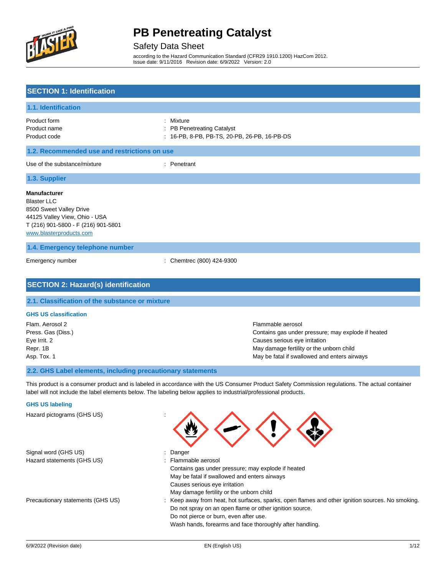

#### Safety Data Sheet

according to the Hazard Communication Standard (CFR29 1910.1200) HazCom 2012. Issue date: 9/11/2016 Revision date: 6/9/2022 Version: 2.0

### **SECTION 1: Identification**

| 1.1. Identification                                                                                                                                                     |                                                                                         |
|-------------------------------------------------------------------------------------------------------------------------------------------------------------------------|-----------------------------------------------------------------------------------------|
| Product form<br>Product name<br>Product code                                                                                                                            | : Mixture<br>: PB Penetreating Catalyst<br>: 16-PB, 8-PB, PB-TS, 20-PB, 26-PB, 16-PB-DS |
| 1.2. Recommended use and restrictions on use                                                                                                                            |                                                                                         |
| Use of the substance/mixture                                                                                                                                            | : Penetrant                                                                             |
| 1.3. Supplier                                                                                                                                                           |                                                                                         |
| <b>Manufacturer</b><br><b>Blaster LLC</b><br>8500 Sweet Valley Drive<br>44125 Valley View, Ohio - USA<br>T (216) 901-5800 - F (216) 901-5801<br>www.blasterproducts.com |                                                                                         |

### **1.4. Emergency telephone number**

Emergency number : Chemtrec (800) 424-9300

## **SECTION 2: Hazard(s) identification**

#### **2.1. Classification of the substance or mixture**

#### **GHS US classification**

Flam. Aerosol 2 Flammable aerosol Press. Gas (Diss.) Contains gas under pressure; may explode if heated Eye Irrit. 2 Causes serious eye irritation Repr. 1B May damage fertility or the unborn child Asp. Tox. 1 May be fatal if swallowed and enters airways

### **2.2. GHS Label elements, including precautionary statements**

This product is a consumer product and is labeled in accordance with the US Consumer Product Safety Commission regulations. The actual container label will not include the label elements below. The labeling below applies to industrial/professional products**.**

#### **GHS US labeling**

Hazard pictograms (GHS US) :

|                                   | ╰                                                                                                |
|-----------------------------------|--------------------------------------------------------------------------------------------------|
| Signal word (GHS US)              | : Danger                                                                                         |
| Hazard statements (GHS US)        | : Flammable aerosol                                                                              |
|                                   | Contains gas under pressure; may explode if heated                                               |
|                                   | May be fatal if swallowed and enters airways                                                     |
|                                   | Causes serious eye irritation                                                                    |
|                                   | May damage fertility or the unborn child                                                         |
| Precautionary statements (GHS US) | : Keep away from heat, hot surfaces, sparks, open flames and other ignition sources. No smoking. |
|                                   | Do not spray on an open flame or other ignition source.                                          |
|                                   | Do not pierce or burn, even after use.                                                           |
|                                   | Wash hands, forearms and face thoroughly after handling.                                         |

 $\bigoplus$   $\bigoplus$   $\bigoplus$   $\bigoplus$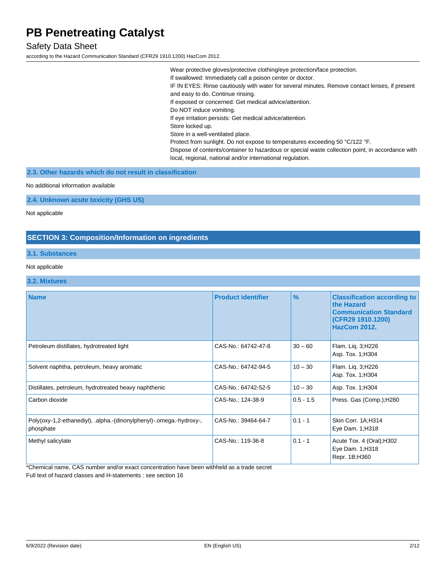### Safety Data Sheet

according to the Hazard Communication Standard (CFR29 1910.1200) HazCom 2012.

Wear protective gloves/protective clothing/eye protection/face protection. If swallowed: Immediately call a poison center or doctor. IF IN EYES: Rinse cautiously with water for several minutes. Remove contact lenses, if present and easy to do. Continue rinsing. If exposed or concerned: Get medical advice/attention. Do NOT induce vomiting. If eye irritation persists: Get medical advice/attention. Store locked up. Store in a well-ventilated place. Protect from sunlight. Do not expose to temperatures exceeding 50 °C/122 °F. Dispose of contents/container to hazardous or special waste collection point, in accordance with local, regional, national and/or international regulation.

**2.3. Other hazards which do not result in classification**

No additional information available

**2.4. Unknown acute toxicity (GHS US)**

Not applicable

### **SECTION 3: Composition/Information on ingredients**

#### **3.1. Substances**

#### Not applicable

#### **3.2. Mixtures**

| <b>Name</b>                                                                      | <b>Product identifier</b> | $\frac{9}{6}$ | <b>Classification according to</b><br>the Hazard<br><b>Communication Standard</b><br>(CFR29 1910.1200)<br><b>HazCom 2012.</b> |
|----------------------------------------------------------------------------------|---------------------------|---------------|-------------------------------------------------------------------------------------------------------------------------------|
| Petroleum distillates, hydrotreated light                                        | CAS-No.: 64742-47-8       | $30 - 60$     | Flam. Liq. 3; H226<br>Asp. Tox. 1; H304                                                                                       |
| Solvent naphtha, petroleum, heavy aromatic                                       | CAS-No.: 64742-94-5       | $10 - 30$     | Flam. Lig. 3;H226<br>Asp. Tox. 1; H304                                                                                        |
| Distillates, petroleum, hydrotreated heavy naphthenic                            | CAS-No.: 64742-52-5       | $10 - 30$     | Asp. Tox. 1; H304                                                                                                             |
| Carbon dioxide                                                                   | CAS-No.: 124-38-9         | $0.5 - 1.5$   | Press. Gas (Comp.); H280                                                                                                      |
| Poly(oxy-1,2-ethanediyl), .alpha.-(dinonylphenyl)-.omega.-hydroxy-,<br>phosphate | CAS-No.: 39464-64-7       | $0.1 - 1$     | Skin Corr. 1A:H314<br>Eye Dam. 1; H318                                                                                        |
| Methyl salicylate                                                                | CAS-No.: 119-36-8         | $0.1 - 1$     | Acute Tox. 4 (Oral); H302<br>Eye Dam. 1; H318<br>Repr. 1B;H360                                                                |

\*Chemical name, CAS number and/or exact concentration have been withheld as a trade secret Full text of hazard classes and H-statements : see section 16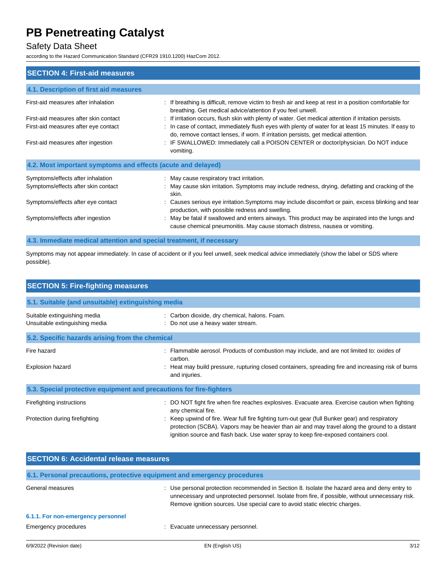### Safety Data Sheet

according to the Hazard Communication Standard (CFR29 1910.1200) HazCom 2012.

| <b>SECTION 4: First-aid measures</b>                         |                                                                                                                                                                                             |
|--------------------------------------------------------------|---------------------------------------------------------------------------------------------------------------------------------------------------------------------------------------------|
| 4.1. Description of first aid measures                       |                                                                                                                                                                                             |
| First-aid measures after inhalation                          | : If breathing is difficult, remove victim to fresh air and keep at rest in a position comfortable for<br>breathing. Get medical advice/attention if you feel unwell.                       |
| First-aid measures after skin contact                        | If irritation occurs, flush skin with plenty of water. Get medical attention if irritation persists.                                                                                        |
| First-aid measures after eye contact                         | : In case of contact, immediately flush eyes with plenty of water for at least 15 minutes. If easy to<br>do, remove contact lenses, if worn. If irritation persists, get medical attention. |
| First-aid measures after ingestion                           | : IF SWALLOWED: Immediately call a POISON CENTER or doctor/physician. Do NOT induce<br>vomiting.                                                                                            |
| 4.2. Most important symptoms and effects (acute and delayed) |                                                                                                                                                                                             |
| Symptoms/effects after inhalation                            | : May cause respiratory tract irritation.                                                                                                                                                   |
| Symptoms/effects after skin contact                          | : May cause skin irritation. Symptoms may include redness, drying, defatting and cracking of the<br>skin.                                                                                   |
| Symptoms/effects after eye contact                           | : Causes serious eye irritation. Symptoms may include discomfort or pain, excess blinking and tear<br>production, with possible redness and swelling.                                       |
| Symptoms/effects after ingestion                             | May be fatal if swallowed and enters airways. This product may be aspirated into the lungs and<br>cause chemical pneumonitis. May cause stomach distress, nausea or vomiting.               |

### **4.3. Immediate medical attention and special treatment, if necessary**

Symptoms may not appear immediately. In case of accident or if you feel unwell, seek medical advice immediately (show the label or SDS where possible).

| <b>SECTION 5: Fire-fighting measures</b>                            |                                                                                                                                                                                                                                                                                            |
|---------------------------------------------------------------------|--------------------------------------------------------------------------------------------------------------------------------------------------------------------------------------------------------------------------------------------------------------------------------------------|
| 5.1. Suitable (and unsuitable) extinguishing media                  |                                                                                                                                                                                                                                                                                            |
| Suitable extinguishing media<br>Unsuitable extinguishing media      | : Carbon dioxide, dry chemical, halons. Foam.<br>: Do not use a heavy water stream.                                                                                                                                                                                                        |
| 5.2. Specific hazards arising from the chemical                     |                                                                                                                                                                                                                                                                                            |
| Fire hazard<br><b>Explosion hazard</b>                              | Flammable aerosol. Products of combustion may include, and are not limited to: oxides of<br>carbon.<br>: Heat may build pressure, rupturing closed containers, spreading fire and increasing risk of burns                                                                                 |
|                                                                     | and injuries.                                                                                                                                                                                                                                                                              |
| 5.3. Special protective equipment and precautions for fire-fighters |                                                                                                                                                                                                                                                                                            |
| Firefighting instructions                                           | DO NOT fight fire when fire reaches explosives. Evacuate area. Exercise caution when fighting<br>any chemical fire.                                                                                                                                                                        |
| Protection during firefighting                                      | : Keep upwind of fire. Wear full fire fighting turn-out gear (full Bunker gear) and respiratory<br>protection (SCBA). Vapors may be heavier than air and may travel along the ground to a distant<br>ignition source and flash back. Use water spray to keep fire-exposed containers cool. |

| <b>SECTION 6: Accidental release measures</b>                            |                                                                                                                                                                                                                                                                                |  |  |
|--------------------------------------------------------------------------|--------------------------------------------------------------------------------------------------------------------------------------------------------------------------------------------------------------------------------------------------------------------------------|--|--|
| 6.1. Personal precautions, protective equipment and emergency procedures |                                                                                                                                                                                                                                                                                |  |  |
| General measures                                                         | Use personal protection recommended in Section 8. Isolate the hazard area and deny entry to<br>unnecessary and unprotected personnel. Isolate from fire, if possible, without unnecessary risk.<br>Remove ignition sources. Use special care to avoid static electric charges. |  |  |
| 6.1.1. For non-emergency personnel                                       |                                                                                                                                                                                                                                                                                |  |  |
| Emergency procedures                                                     | Evacuate unnecessary personnel.                                                                                                                                                                                                                                                |  |  |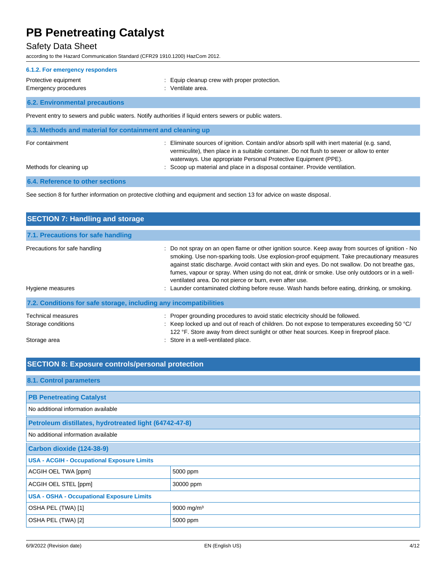### Safety Data Sheet

according to the Hazard Communication Standard (CFR29 1910.1200) HazCom 2012.

#### **6.1.2. For emergency responders**

#### Protective equipment **in the contract of the CO** contract in the Equip cleanup crew with proper protection. Emergency procedures in the set of the set of the Senate area.

## **6.2. Environmental precautions**

Prevent entry to sewers and public waters. Notify authorities if liquid enters sewers or public waters.

| 6.3. Methods and material for containment and cleaning up |                                                                                                                                                                                                                                                            |
|-----------------------------------------------------------|------------------------------------------------------------------------------------------------------------------------------------------------------------------------------------------------------------------------------------------------------------|
| For containment                                           | Eliminate sources of ignition. Contain and/or absorb spill with inert material (e.g. sand,<br>vermiculite), then place in a suitable container. Do not flush to sewer or allow to enter<br>waterways. Use appropriate Personal Protective Equipment (PPE). |
| Methods for cleaning up                                   | : Scoop up material and place in a disposal container. Provide ventilation.                                                                                                                                                                                |
|                                                           |                                                                                                                                                                                                                                                            |

#### **6.4. Reference to other sections**

See section 8 for further information on protective clothing and equipment and section 13 for advice on waste disposal.

| <b>SECTION 7: Handling and storage</b>                            |                                                                                                                                                                                                                                                                                                                                                                                                                                                                  |
|-------------------------------------------------------------------|------------------------------------------------------------------------------------------------------------------------------------------------------------------------------------------------------------------------------------------------------------------------------------------------------------------------------------------------------------------------------------------------------------------------------------------------------------------|
| 7.1. Precautions for safe handling                                |                                                                                                                                                                                                                                                                                                                                                                                                                                                                  |
| Precautions for safe handling                                     | : Do not spray on an open flame or other ignition source. Keep away from sources of ignition - No<br>smoking. Use non-sparking tools. Use explosion-proof equipment. Take precautionary measures<br>against static discharge. Avoid contact with skin and eyes. Do not swallow. Do not breathe gas,<br>fumes, vapour or spray. When using do not eat, drink or smoke. Use only outdoors or in a well-<br>ventilated area. Do not pierce or burn, even after use. |
| Hygiene measures                                                  | : Launder contaminated clothing before reuse. Wash hands before eating, drinking, or smoking.                                                                                                                                                                                                                                                                                                                                                                    |
| 7.2. Conditions for safe storage, including any incompatibilities |                                                                                                                                                                                                                                                                                                                                                                                                                                                                  |
| Technical measures                                                | Proper grounding procedures to avoid static electricity should be followed.                                                                                                                                                                                                                                                                                                                                                                                      |
| Storage conditions                                                | : Keep locked up and out of reach of children. Do not expose to temperatures exceeding 50 $^{\circ}$ C/<br>122 °F. Store away from direct sunlight or other heat sources. Keep in fireproof place.                                                                                                                                                                                                                                                               |
| Storage area                                                      | : Store in a well-ventilated place.                                                                                                                                                                                                                                                                                                                                                                                                                              |

#### **SECTION 8: Exposure controls/personal protection**

| 8.1. Control parameters                                |                        |  |  |
|--------------------------------------------------------|------------------------|--|--|
|                                                        |                        |  |  |
| <b>PB Penetreating Catalyst</b>                        |                        |  |  |
| No additional information available                    |                        |  |  |
| Petroleum distillates, hydrotreated light (64742-47-8) |                        |  |  |
| No additional information available                    |                        |  |  |
| Carbon dioxide (124-38-9)                              |                        |  |  |
| <b>USA - ACGIH - Occupational Exposure Limits</b>      |                        |  |  |
| ACGIH OEL TWA [ppm]                                    | 5000 ppm               |  |  |
| ACGIH OEL STEL [ppm]<br>30000 ppm                      |                        |  |  |
| <b>USA - OSHA - Occupational Exposure Limits</b>       |                        |  |  |
| OSHA PEL (TWA) [1]                                     | 9000 mg/m <sup>3</sup> |  |  |
| OSHA PEL (TWA) [2]                                     | 5000 ppm               |  |  |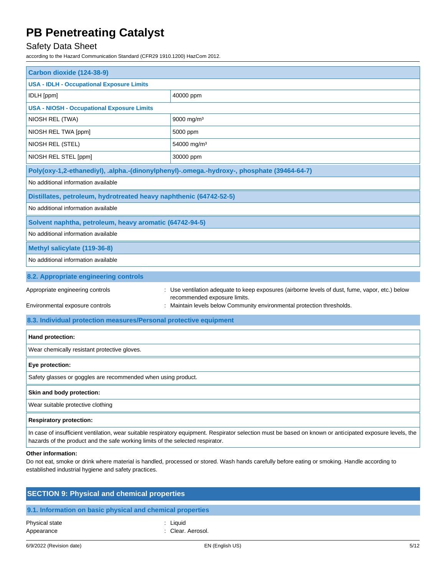## Safety Data Sheet

according to the Hazard Communication Standard (CFR29 1910.1200) HazCom 2012.

| Carbon dioxide (124-38-9)                                                      |                                                                                                                                                           |
|--------------------------------------------------------------------------------|-----------------------------------------------------------------------------------------------------------------------------------------------------------|
| <b>USA - IDLH - Occupational Exposure Limits</b>                               |                                                                                                                                                           |
| IDLH [ppm]                                                                     | 40000 ppm                                                                                                                                                 |
| <b>USA - NIOSH - Occupational Exposure Limits</b>                              |                                                                                                                                                           |
| NIOSH REL (TWA)                                                                | 9000 mg/m <sup>3</sup>                                                                                                                                    |
| NIOSH REL TWA [ppm]                                                            | 5000 ppm                                                                                                                                                  |
| NIOSH REL (STEL)                                                               | 54000 mg/m <sup>3</sup>                                                                                                                                   |
| NIOSH REL STEL [ppm]                                                           | 30000 ppm                                                                                                                                                 |
|                                                                                | Poly(oxy-1,2-ethanediyl), .alpha.-(dinonylphenyl)-.omega.-hydroxy-, phosphate (39464-64-7)                                                                |
| No additional information available                                            |                                                                                                                                                           |
| Distillates, petroleum, hydrotreated heavy naphthenic (64742-52-5)             |                                                                                                                                                           |
| No additional information available                                            |                                                                                                                                                           |
| Solvent naphtha, petroleum, heavy aromatic (64742-94-5)                        |                                                                                                                                                           |
| No additional information available                                            |                                                                                                                                                           |
| Methyl salicylate (119-36-8)                                                   |                                                                                                                                                           |
| No additional information available                                            |                                                                                                                                                           |
| 8.2. Appropriate engineering controls                                          |                                                                                                                                                           |
| Appropriate engineering controls                                               | : Use ventilation adequate to keep exposures (airborne levels of dust, fume, vapor, etc.) below                                                           |
| Environmental exposure controls                                                | recommended exposure limits.<br>: Maintain levels below Community environmental protection thresholds.                                                    |
| 8.3. Individual protection measures/Personal protective equipment              |                                                                                                                                                           |
| Hand protection:                                                               |                                                                                                                                                           |
| Wear chemically resistant protective gloves.                                   |                                                                                                                                                           |
| Eye protection:                                                                |                                                                                                                                                           |
| Safety glasses or goggles are recommended when using product.                  |                                                                                                                                                           |
| Skin and body protection:                                                      |                                                                                                                                                           |
| Wear suitable protective clothing                                              |                                                                                                                                                           |
| <b>Respiratory protection:</b>                                                 |                                                                                                                                                           |
| hazards of the product and the safe working limits of the selected respirator. | In case of insufficient ventilation, wear suitable respiratory equipment. Respirator selection must be based on known or anticipated exposure levels, the |
| Other information:                                                             |                                                                                                                                                           |

Do not eat, smoke or drink where material is handled, processed or stored. Wash hands carefully before eating or smoking. Handle according to established industrial hygiene and safety practices.

| <b>SECTION 9: Physical and chemical properties</b>         |                               |  |  |  |
|------------------------------------------------------------|-------------------------------|--|--|--|
|                                                            |                               |  |  |  |
| 9.1. Information on basic physical and chemical properties |                               |  |  |  |
| Physical state<br>Appearance                               | : Liquid<br>: Clear, Aerosol. |  |  |  |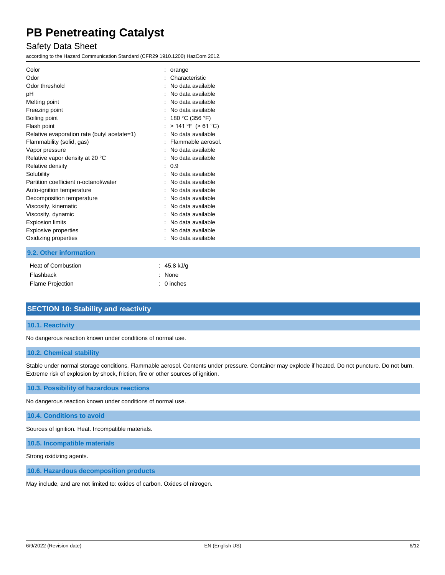### Safety Data Sheet

according to the Hazard Communication Standard (CFR29 1910.1200) HazCom 2012.

| Color<br>Odor                               | orange<br>Characteristic |
|---------------------------------------------|--------------------------|
| Odor threshold                              | No data available        |
| рH                                          | : No data available      |
| Melting point                               | No data available        |
| Freezing point                              | No data available        |
| Boiling point                               | 180 °C (356 °F)          |
| Flash point                                 | $> 141$ °F ( $> 61$ °C)  |
| Relative evaporation rate (butyl acetate=1) | No data available        |
| Flammability (solid, gas)                   | Flammable aerosol.       |
| Vapor pressure                              | No data available        |
| Relative vapor density at 20 °C             | No data available        |
| Relative density                            | 0.9                      |
| Solubility                                  | No data available        |
| Partition coefficient n-octanol/water       | No data available        |
| Auto-ignition temperature                   | No data available        |
| Decomposition temperature                   | No data available        |
| Viscosity, kinematic                        | No data available        |
| Viscosity, dynamic                          | No data available        |
| <b>Explosion limits</b>                     | : No data available      |
| <b>Explosive properties</b>                 | No data available        |
| Oxidizing properties                        | No data available        |
| 9.2. Other information                      |                          |

| Heat of Combustion      | $: 45.8$ kJ/g |
|-------------------------|---------------|
| Flashback               | : None        |
| <b>Flame Projection</b> | $: 0$ inches  |

### **SECTION 10: Stability and reactivity**

#### **10.1. Reactivity**

No dangerous reaction known under conditions of normal use.

#### **10.2. Chemical stability**

Stable under normal storage conditions. Flammable aerosol. Contents under pressure. Container may explode if heated. Do not puncture. Do not burn. Extreme risk of explosion by shock, friction, fire or other sources of ignition.

**10.3. Possibility of hazardous reactions**

No dangerous reaction known under conditions of normal use.

#### **10.4. Conditions to avoid**

Sources of ignition. Heat. Incompatible materials.

**10.5. Incompatible materials**

Strong oxidizing agents.

**10.6. Hazardous decomposition products**

May include, and are not limited to: oxides of carbon. Oxides of nitrogen.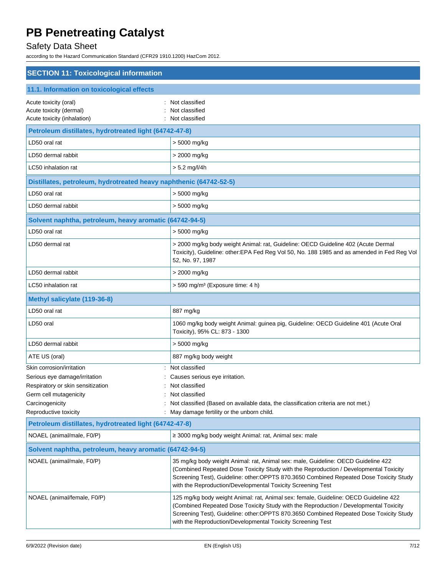# Safety Data Sheet

according to the Hazard Communication Standard (CFR29 1910.1200) HazCom 2012.

| <b>SECTION 11: Toxicological information</b>                                    |                                                                                                                                                                                                                                                                                                                                        |
|---------------------------------------------------------------------------------|----------------------------------------------------------------------------------------------------------------------------------------------------------------------------------------------------------------------------------------------------------------------------------------------------------------------------------------|
| 11.1. Information on toxicological effects                                      |                                                                                                                                                                                                                                                                                                                                        |
| Acute toxicity (oral)<br>Acute toxicity (dermal)<br>Acute toxicity (inhalation) | Not classified<br>Not classified<br>Not classified                                                                                                                                                                                                                                                                                     |
| Petroleum distillates, hydrotreated light (64742-47-8)                          |                                                                                                                                                                                                                                                                                                                                        |
| LD50 oral rat                                                                   | > 5000 mg/kg                                                                                                                                                                                                                                                                                                                           |
| LD50 dermal rabbit                                                              | > 2000 mg/kg                                                                                                                                                                                                                                                                                                                           |
| LC50 inhalation rat                                                             | $> 5.2$ mg/l/4h                                                                                                                                                                                                                                                                                                                        |
| Distillates, petroleum, hydrotreated heavy naphthenic (64742-52-5)              |                                                                                                                                                                                                                                                                                                                                        |
| LD50 oral rat                                                                   | > 5000 mg/kg                                                                                                                                                                                                                                                                                                                           |
| LD50 dermal rabbit                                                              | > 5000 mg/kg                                                                                                                                                                                                                                                                                                                           |
| Solvent naphtha, petroleum, heavy aromatic (64742-94-5)                         |                                                                                                                                                                                                                                                                                                                                        |
| LD50 oral rat                                                                   | > 5000 mg/kg                                                                                                                                                                                                                                                                                                                           |
| LD50 dermal rat                                                                 | > 2000 mg/kg body weight Animal: rat, Guideline: OECD Guideline 402 (Acute Dermal<br>Toxicity), Guideline: other: EPA Fed Reg Vol 50, No. 188 1985 and as amended in Fed Reg Vol<br>52, No. 97, 1987                                                                                                                                   |
| LD50 dermal rabbit                                                              | > 2000 mg/kg                                                                                                                                                                                                                                                                                                                           |
| LC50 inhalation rat                                                             | > 590 mg/m <sup>3</sup> (Exposure time: 4 h)                                                                                                                                                                                                                                                                                           |
| Methyl salicylate (119-36-8)                                                    |                                                                                                                                                                                                                                                                                                                                        |
| LD50 oral rat                                                                   | 887 mg/kg                                                                                                                                                                                                                                                                                                                              |
| LD50 oral                                                                       | 1060 mg/kg body weight Animal: guinea pig, Guideline: OECD Guideline 401 (Acute Oral<br>Toxicity), 95% CL: 873 - 1300                                                                                                                                                                                                                  |
| LD50 dermal rabbit                                                              | > 5000 mg/kg                                                                                                                                                                                                                                                                                                                           |
| ATE US (oral)                                                                   | 887 mg/kg body weight                                                                                                                                                                                                                                                                                                                  |
| Skin corrosion/irritation                                                       | Not classified                                                                                                                                                                                                                                                                                                                         |
| Serious eye damage/irritation<br>Respiratory or skin sensitization              | Causes serious eye irritation.<br>Not classified                                                                                                                                                                                                                                                                                       |
| Germ cell mutagenicity                                                          | Not classified                                                                                                                                                                                                                                                                                                                         |
| Carcinogenicity                                                                 | Not classified (Based on available data, the classification criteria are not met.)                                                                                                                                                                                                                                                     |
| Reproductive toxicity                                                           | May damage fertility or the unborn child.                                                                                                                                                                                                                                                                                              |
| Petroleum distillates, hydrotreated light (64742-47-8)                          |                                                                                                                                                                                                                                                                                                                                        |
| NOAEL (animal/male, F0/P)                                                       | ≥ 3000 mg/kg body weight Animal: rat, Animal sex: male                                                                                                                                                                                                                                                                                 |
| Solvent naphtha, petroleum, heavy aromatic (64742-94-5)                         |                                                                                                                                                                                                                                                                                                                                        |
| NOAEL (animal/male, F0/P)                                                       | 35 mg/kg body weight Animal: rat, Animal sex: male, Guideline: OECD Guideline 422<br>(Combined Repeated Dose Toxicity Study with the Reproduction / Developmental Toxicity<br>Screening Test), Guideline: other:OPPTS 870.3650 Combined Repeated Dose Toxicity Study<br>with the Reproduction/Developmental Toxicity Screening Test    |
| NOAEL (animal/female, F0/P)                                                     | 125 mg/kg body weight Animal: rat, Animal sex: female, Guideline: OECD Guideline 422<br>(Combined Repeated Dose Toxicity Study with the Reproduction / Developmental Toxicity<br>Screening Test), Guideline: other:OPPTS 870.3650 Combined Repeated Dose Toxicity Study<br>with the Reproduction/Developmental Toxicity Screening Test |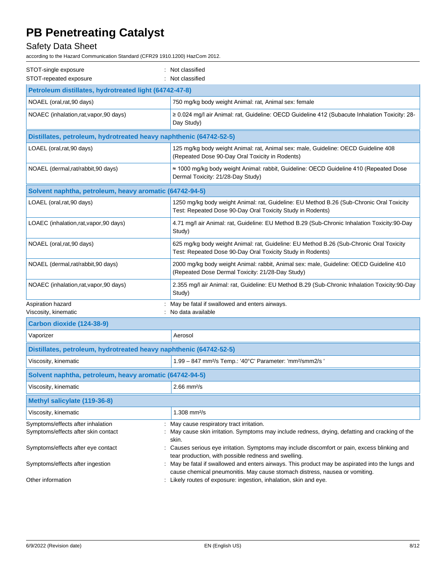# Safety Data Sheet

according to the Hazard Communication Standard (CFR29 1910.1200) HazCom 2012.

| STOT-single exposure                                                     | : Not classified                                                                                                                                                              |
|--------------------------------------------------------------------------|-------------------------------------------------------------------------------------------------------------------------------------------------------------------------------|
| STOT-repeated exposure                                                   | : Not classified                                                                                                                                                              |
| Petroleum distillates, hydrotreated light (64742-47-8)                   |                                                                                                                                                                               |
| NOAEL (oral, rat, 90 days)                                               | 750 mg/kg body weight Animal: rat, Animal sex: female                                                                                                                         |
| NOAEC (inhalation, rat, vapor, 90 days)                                  | ≥ 0.024 mg/l air Animal: rat, Guideline: OECD Guideline 412 (Subacute Inhalation Toxicity: 28-<br>Day Study)                                                                  |
| Distillates, petroleum, hydrotreated heavy naphthenic (64742-52-5)       |                                                                                                                                                                               |
| LOAEL (oral, rat, 90 days)                                               | 125 mg/kg body weight Animal: rat, Animal sex: male, Guideline: OECD Guideline 408<br>(Repeated Dose 90-Day Oral Toxicity in Rodents)                                         |
| NOAEL (dermal, rat/rabbit, 90 days)                                      | ≈ 1000 mg/kg body weight Animal: rabbit, Guideline: OECD Guideline 410 (Repeated Dose<br>Dermal Toxicity: 21/28-Day Study)                                                    |
| Solvent naphtha, petroleum, heavy aromatic (64742-94-5)                  |                                                                                                                                                                               |
| LOAEL (oral, rat, 90 days)                                               | 1250 mg/kg body weight Animal: rat, Guideline: EU Method B.26 (Sub-Chronic Oral Toxicity<br>Test: Repeated Dose 90-Day Oral Toxicity Study in Rodents)                        |
| LOAEC (inhalation, rat, vapor, 90 days)                                  | 4.71 mg/l air Animal: rat, Guideline: EU Method B.29 (Sub-Chronic Inhalation Toxicity:90-Day<br>Study)                                                                        |
| NOAEL (oral, rat, 90 days)                                               | 625 mg/kg body weight Animal: rat, Guideline: EU Method B.26 (Sub-Chronic Oral Toxicity<br>Test: Repeated Dose 90-Day Oral Toxicity Study in Rodents)                         |
| NOAEL (dermal, rat/rabbit, 90 days)                                      | 2000 mg/kg body weight Animal: rabbit, Animal sex: male, Guideline: OECD Guideline 410<br>(Repeated Dose Dermal Toxicity: 21/28-Day Study)                                    |
| NOAEC (inhalation, rat, vapor, 90 days)                                  | 2.355 mg/l air Animal: rat, Guideline: EU Method B.29 (Sub-Chronic Inhalation Toxicity:90-Day<br>Study)                                                                       |
| Aspiration hazard<br>Viscosity, kinematic                                | May be fatal if swallowed and enters airways.<br>: No data available                                                                                                          |
| Carbon dioxide (124-38-9)                                                |                                                                                                                                                                               |
| Vaporizer                                                                | Aerosol                                                                                                                                                                       |
| Distillates, petroleum, hydrotreated heavy naphthenic (64742-52-5)       |                                                                                                                                                                               |
| Viscosity, kinematic                                                     | 1.99 - 847 mm <sup>2</sup> /s Temp.: '40°C' Parameter: 'mm <sup>2</sup> /smm2/s'                                                                                              |
| Solvent naphtha, petroleum, heavy aromatic (64742-94-5)                  |                                                                                                                                                                               |
| Viscosity, kinematic                                                     | $2.66$ mm $2/s$                                                                                                                                                               |
| Methyl salicylate (119-36-8)                                             |                                                                                                                                                                               |
| Viscosity, kinematic                                                     | 1.308 mm <sup>2</sup> /s                                                                                                                                                      |
| Symptoms/effects after inhalation<br>Symptoms/effects after skin contact | : May cause respiratory tract irritation.<br>May cause skin irritation. Symptoms may include redness, drying, defatting and cracking of the<br>skin.                          |
| Symptoms/effects after eye contact                                       | Causes serious eye irritation. Symptoms may include discomfort or pain, excess blinking and<br>tear production, with possible redness and swelling.                           |
| Symptoms/effects after ingestion                                         | May be fatal if swallowed and enters airways. This product may be aspirated into the lungs and<br>cause chemical pneumonitis. May cause stomach distress, nausea or vomiting. |
| Other information                                                        | Likely routes of exposure: ingestion, inhalation, skin and eye.                                                                                                               |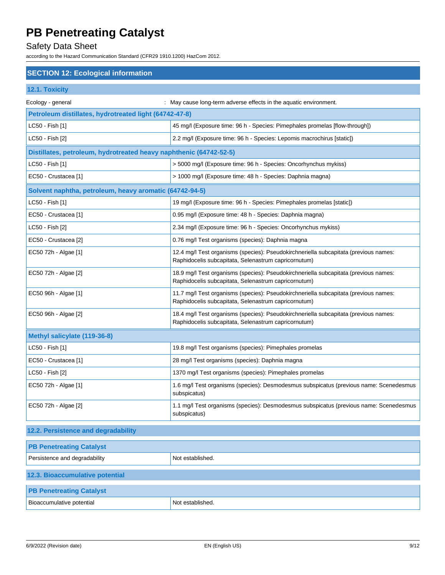# Safety Data Sheet

according to the Hazard Communication Standard (CFR29 1910.1200) HazCom 2012.

### **SECTION 12: Ecological information**

|  | 12.1. Toxicity |  |
|--|----------------|--|
|  |                |  |

| Ecology - general                                                  | : May cause long-term adverse effects in the aquatic environment.                                                                            |
|--------------------------------------------------------------------|----------------------------------------------------------------------------------------------------------------------------------------------|
| Petroleum distillates, hydrotreated light (64742-47-8)             |                                                                                                                                              |
| LC50 - Fish [1]                                                    | 45 mg/l (Exposure time: 96 h - Species: Pimephales promelas [flow-through])                                                                  |
| LC50 - Fish [2]                                                    | 2.2 mg/l (Exposure time: 96 h - Species: Lepomis macrochirus [static])                                                                       |
| Distillates, petroleum, hydrotreated heavy naphthenic (64742-52-5) |                                                                                                                                              |
| LC50 - Fish [1]                                                    | > 5000 mg/l (Exposure time: 96 h - Species: Oncorhynchus mykiss)                                                                             |
| EC50 - Crustacea [1]                                               | > 1000 mg/l (Exposure time: 48 h - Species: Daphnia magna)                                                                                   |
| Solvent naphtha, petroleum, heavy aromatic (64742-94-5)            |                                                                                                                                              |
| LC50 - Fish [1]                                                    | 19 mg/l (Exposure time: 96 h - Species: Pimephales promelas [static])                                                                        |
| EC50 - Crustacea [1]                                               | 0.95 mg/l (Exposure time: 48 h - Species: Daphnia magna)                                                                                     |
| LC50 - Fish [2]                                                    | 2.34 mg/l (Exposure time: 96 h - Species: Oncorhynchus mykiss)                                                                               |
| EC50 - Crustacea [2]                                               | 0.76 mg/l Test organisms (species): Daphnia magna                                                                                            |
| EC50 72h - Algae [1]                                               | 12.4 mg/l Test organisms (species): Pseudokirchneriella subcapitata (previous names:<br>Raphidocelis subcapitata, Selenastrum capricornutum) |
| EC50 72h - Algae [2]                                               | 18.9 mg/l Test organisms (species): Pseudokirchneriella subcapitata (previous names:<br>Raphidocelis subcapitata, Selenastrum capricornutum) |
| EC50 96h - Algae [1]                                               | 11.7 mg/l Test organisms (species): Pseudokirchneriella subcapitata (previous names:<br>Raphidocelis subcapitata, Selenastrum capricornutum) |
| EC50 96h - Algae [2]                                               | 18.4 mg/l Test organisms (species): Pseudokirchneriella subcapitata (previous names:<br>Raphidocelis subcapitata, Selenastrum capricornutum) |
| Methyl salicylate (119-36-8)                                       |                                                                                                                                              |
| LC50 - Fish [1]                                                    | 19.8 mg/l Test organisms (species): Pimephales promelas                                                                                      |
| EC50 - Crustacea [1]                                               | 28 mg/l Test organisms (species): Daphnia magna                                                                                              |
| LC50 - Fish [2]                                                    | 1370 mg/l Test organisms (species): Pimephales promelas                                                                                      |
| EC50 72h - Algae [1]                                               | 1.6 mg/l Test organisms (species): Desmodesmus subspicatus (previous name: Scenedesmus<br>subspicatus)                                       |
| EC50 72h - Algae [2]                                               | 1.1 mg/l Test organisms (species): Desmodesmus subspicatus (previous name: Scenedesmus<br>subspicatus)                                       |

### **12.2. Persistence and degradability**

| <b>PB Penetreating Catalyst</b> |                  |
|---------------------------------|------------------|
|                                 |                  |
| Persistence and degradability   | Not established. |
|                                 |                  |
| 12.3. Bioaccumulative potential |                  |
|                                 |                  |
| <b>PB Penetreating Catalyst</b> |                  |
| Bioaccumulative potential       | Not established. |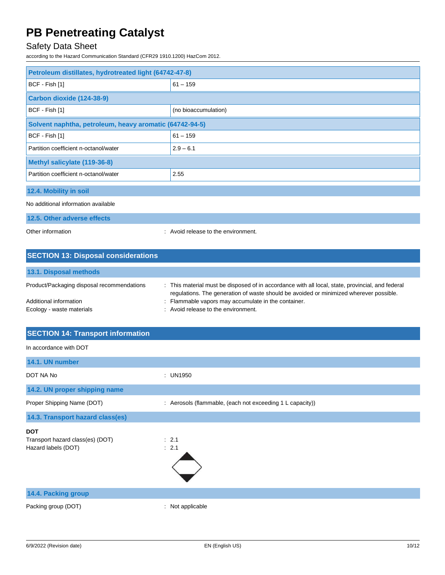# Safety Data Sheet

according to the Hazard Communication Standard (CFR29 1910.1200) HazCom 2012.

| Petroleum distillates, hydrotreated light (64742-47-8)  |                                     |
|---------------------------------------------------------|-------------------------------------|
| BCF - Fish [1]                                          | $61 - 159$                          |
| Carbon dioxide (124-38-9)                               |                                     |
| BCF - Fish [1]                                          | (no bioaccumulation)                |
| Solvent naphtha, petroleum, heavy aromatic (64742-94-5) |                                     |
| BCF - Fish [1]                                          | $61 - 159$                          |
| Partition coefficient n-octanol/water                   | $2.9 - 6.1$                         |
| Methyl salicylate (119-36-8)                            |                                     |
| Partition coefficient n-octanol/water                   | 2.55                                |
| 12.4. Mobility in soil                                  |                                     |
| No additional information available                     |                                     |
| 12.5. Other adverse effects                             |                                     |
| Other information                                       | : Avoid release to the environment. |

| <b>SECTION 13: Disposal considerations</b> |                                                                                                                                                                                            |
|--------------------------------------------|--------------------------------------------------------------------------------------------------------------------------------------------------------------------------------------------|
| 13.1. Disposal methods                     |                                                                                                                                                                                            |
| Product/Packaging disposal recommendations | : This material must be disposed of in accordance with all local, state, provincial, and federal<br>regulations. The generation of waste should be avoided or minimized wherever possible. |
| Additional information                     | Flammable vapors may accumulate in the container.                                                                                                                                          |
| Ecology - waste materials                  | : Avoid release to the environment.                                                                                                                                                        |

| <b>SECTION 14: Transport information</b>                              |                                                           |
|-----------------------------------------------------------------------|-----------------------------------------------------------|
| In accordance with DOT                                                |                                                           |
| 14.1. UN number                                                       |                                                           |
| DOT NA No                                                             | : UN1950                                                  |
| 14.2. UN proper shipping name                                         |                                                           |
| Proper Shipping Name (DOT)                                            | : Aerosols (flammable, (each not exceeding 1 L capacity)) |
| 14.3. Transport hazard class(es)                                      |                                                           |
| <b>DOT</b><br>Transport hazard class(es) (DOT)<br>Hazard labels (DOT) | : 2.1<br>: 2.1                                            |
| 14.4. Packing group                                                   |                                                           |
| Packing group (DOT)                                                   | : Not applicable                                          |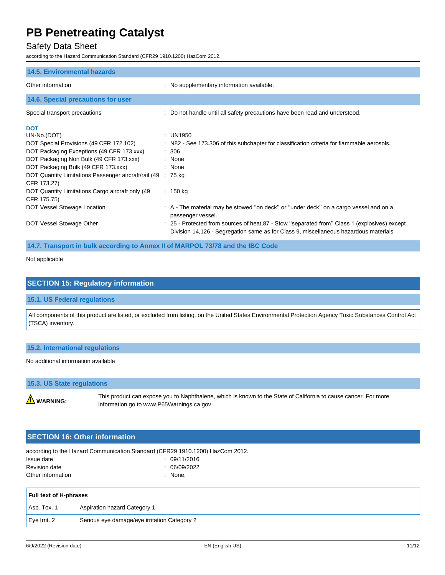### Safety Data Sheet

according to the Hazard Communication Standard (CFR29 1910.1200) HazCom 2012.

| <b>14.5. Environmental hazards</b>                                                                                                                                                                                                                                                                                             |                                                                                                                                                                                                                                                                                                     |
|--------------------------------------------------------------------------------------------------------------------------------------------------------------------------------------------------------------------------------------------------------------------------------------------------------------------------------|-----------------------------------------------------------------------------------------------------------------------------------------------------------------------------------------------------------------------------------------------------------------------------------------------------|
| Other information                                                                                                                                                                                                                                                                                                              | : No supplementary information available.                                                                                                                                                                                                                                                           |
| 14.6. Special precautions for user                                                                                                                                                                                                                                                                                             |                                                                                                                                                                                                                                                                                                     |
| Special transport precautions                                                                                                                                                                                                                                                                                                  | : Do not handle until all safety precautions have been read and understood.                                                                                                                                                                                                                         |
| <b>DOT</b><br>UN-No.(DOT)<br>DOT Special Provisions (49 CFR 172.102)<br>DOT Packaging Exceptions (49 CFR 173.xxx)<br>DOT Packaging Non Bulk (49 CFR 173.xxx)<br>DOT Packaging Bulk (49 CFR 173.xxx)<br>DOT Quantity Limitations Passenger aircraft/rail (49<br>CFR 173.27)<br>DOT Quantity Limitations Cargo aircraft only (49 | : UN1950<br>: N82 - See 173.306 of this subchapter for classification criteria for flammable aerosols.<br>: 306<br>: None<br>: None<br>: 75 kg<br>: 150 kg                                                                                                                                          |
| CFR 175.75)<br>DOT Vessel Stowage Location<br>DOT Vessel Stowage Other                                                                                                                                                                                                                                                         | : A - The material may be stowed "on deck" or "under deck" on a cargo vessel and on a<br>passenger vessel.<br>: 25 - Protected from sources of heat, 87 - Stow "separated from" Class 1 (explosives) except<br>Division 14,126 - Segregation same as for Class 9, miscellaneous hazardous materials |

**14.7. Transport in bulk according to Annex II of MARPOL 73/78 and the IBC Code**

Not applicable

## **SECTION 15: Regulatory information**

#### **15.1. US Federal regulations**

All components of this product are listed, or excluded from listing, on the United States Environmental Protection Agency Toxic Substances Control Act (TSCA) inventory.

#### **15.2. International regulations**

#### No additional information available

### **15.3. US State regulations**

**WARNING:** 

This product can expose you to Naphthalene, which is known to the State of California to cause cancer. For more information go to www.P65Warnings.ca.gov.

#### **SECTION 16: Other information**

according to the Hazard Communication Standard (CFR29 1910.1200) HazCom 2012. Issue date : 09/11/2016 Revision date : 06/09/2022 Other information in the contract of the contract of the contract of the contract of the contract of the contract of the contract of the contract of the contract of the contract of the contract of the contract of the contr

| <b>Full text of H-phrases</b> |                                              |
|-------------------------------|----------------------------------------------|
| $ $ Asp. Tox. 1               | Aspiration hazard Category 1                 |
| $\mathsf{Eve}$ Irrit. 2       | Serious eye damage/eye irritation Category 2 |